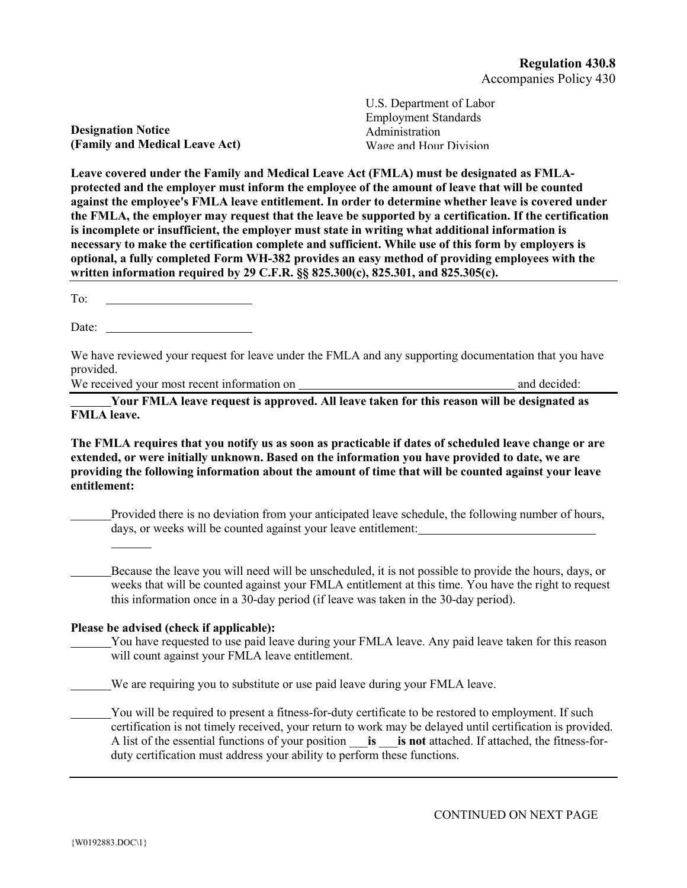**Designation Notice (Family and Medical Leave Act)** U.S. Department of Labor Employment Standards Administration Wage and Hour Division

**Leave covered under the Family and Medical Leave Act (FMLA) must be designated as FMLAprotected and the employer must inform the employee of the amount of leave that will be counted against the employee's FMLA leave entitlement. In order to determine whether leave is covered under the FMLA, the employer may request that the leave be supported by a certification. If the certification is incomplete or insufficient, the employer must state in writing what additional information is necessary to make the certification complete and sufficient. While use of this form by employers is optional, a fully completed Form WH-382 provides an easy method of providing employees with the written information required by 29 C.F.R. §§ 825.300(c), 825.301, and 825.305(c).**

To:

Date:

We have reviewed your request for leave under the FMLA and any supporting documentation that you have provided.

We received your most recent information on and decided:

**Your FMLA leave request is approved. All leave taken for this reason will be designated as FMLA leave.**

**The FMLA requires that you notify us as soon as practicable if dates of scheduled leave change or are extended, or were initially unknown. Based on the information you have provided to date, we are providing the following information about the amount of time that will be counted against your leave entitlement:**

Provided there is no deviation from your anticipated leave schedule, the following number of hours, days, or weeks will be counted against your leave entitlement:

Because the leave you will need will be unscheduled, it is not possible to provide the hours, days, or weeks that will be counted against your FMLA entitlement at this time. You have the right to request this information once in a 30-day period (if leave was taken in the 30-day period).

## **Please be advised (check if applicable):**

You have requested to use paid leave during your FMLA leave. Any paid leave taken for this reason will count against your FMLA leave entitlement.

We are requiring you to substitute or use paid leave during your FMLA leave.

You will be required to present a fitness-for-duty certificate to be restored to employment. If such certification is not timely received, your return to work may be delayed until certification is provided. A list of the essential functions of your position \_\_\_**is** \_\_\_**is not** attached. If attached, the fitness-forduty certification must address your ability to perform these functions.